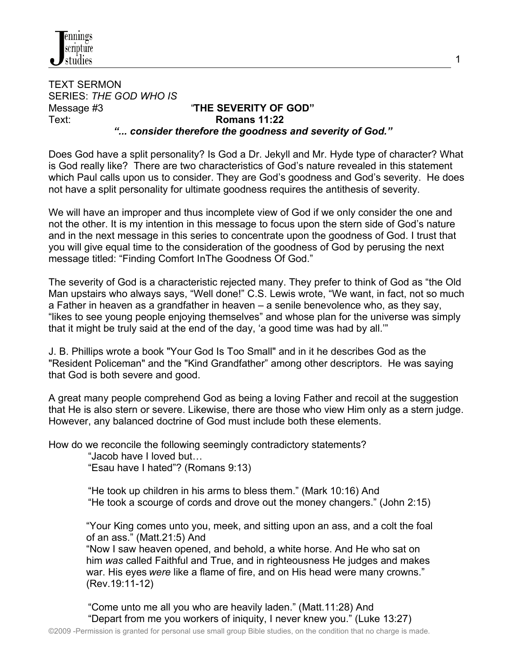

TEXT SERMON SERIES: *THE GOD WHO IS* Message #3 "**THE SEVERITY OF GOD"** Text: **Romans 11:22**  *"... consider therefore the goodness and severity of God."*

Does God have a split personality? Is God a Dr. Jekyll and Mr. Hyde type of character? What is God really like? There are two characteristics of God's nature revealed in this statement which Paul calls upon us to consider. They are God's goodness and God's severity. He does not have a split personality for ultimate goodness requires the antithesis of severity.

1

We will have an improper and thus incomplete view of God if we only consider the one and not the other. It is my intention in this message to focus upon the stern side of God's nature and in the next message in this series to concentrate upon the goodness of God. I trust that you will give equal time to the consideration of the goodness of God by perusing the next message titled: "Finding Comfort InThe Goodness Of God."

The severity of God is a characteristic rejected many. They prefer to think of God as "the Old Man upstairs who always says, "Well done!" C.S. Lewis wrote, "We want, in fact, not so much a Father in heaven as a grandfather in heaven – a senile benevolence who, as they say, "likes to see young people enjoying themselves" and whose plan for the universe was simply that it might be truly said at the end of the day, 'a good time was had by all.'"

J. B. Phillips wrote a book "Your God Is Too Small" and in it he describes God as the "Resident Policeman" and the "Kind Grandfather" among other descriptors. He was saying that God is both severe and good.

A great many people comprehend God as being a loving Father and recoil at the suggestion that He is also stern or severe. Likewise, there are those who view Him only as a stern judge. However, any balanced doctrine of God must include both these elements.

How do we reconcile the following seemingly contradictory statements?

"Jacob have I loved but…

"Esau have I hated"? (Romans 9:13)

 "He took up children in his arms to bless them." (Mark 10:16) And "He took a scourge of cords and drove out the money changers." (John 2:15)

 "Your King comes unto you, meek, and sitting upon an ass, and a colt the foal of an ass." (Matt.21:5) And

 "Now I saw heaven opened, and behold, a white horse. And He who sat on him *was* called Faithful and True, and in righteousness He judges and makes war. His eyes *were* like a flame of fire, and on His head were many crowns." (Rev.19:11-12)

 "Come unto me all you who are heavily laden." (Matt.11:28) And "Depart from me you workers of iniquity, I never knew you." (Luke 13:27)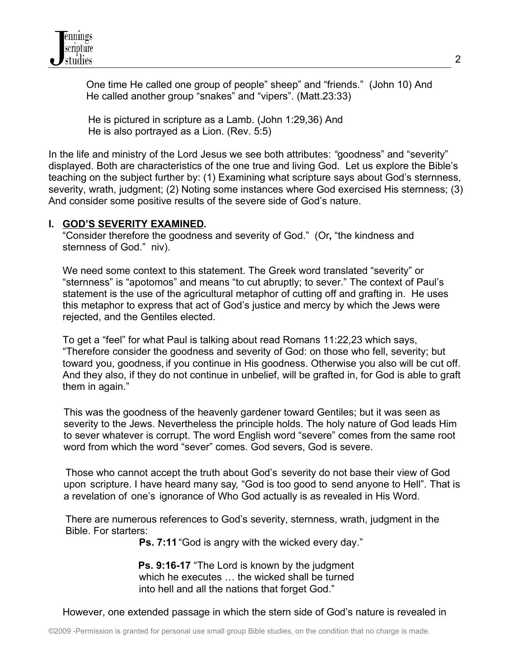

 One time He called one group of people" sheep" and "friends." (John 10) And He called another group "snakes" and "vipers". (Matt.23:33)

 He is pictured in scripture as a Lamb. (John 1:29,36) And He is also portrayed as a Lion. (Rev. 5:5)

In the life and ministry of the Lord Jesus we see both attributes: *"*goodness" and "severity" displayed. Both are characteristics of the one true and living God. Let us explore the Bible's teaching on the subject further by: (1) Examining what scripture says about God's sternness, severity, wrath, judgment; (2) Noting some instances where God exercised His sternness; (3) And consider some positive results of the severe side of God's nature.

## **I. GOD'S SEVERITY EXAMINED.**

"Consider therefore the goodness and severity of God." (Or**,** "the kindness and sternness of God." niv).

 We need some context to this statement. The Greek word translated "severity" or "sternness" is "apotomos" and means "to cut abruptly; to sever." The context of Paul's statement is the use of the agricultural metaphor of cutting off and grafting in. He uses this metaphor to express that act of God's justice and mercy by which the Jews were rejected, and the Gentiles elected.

 To get a "feel" for what Paul is talking about read Romans 11:22,23 which says, "Therefore consider the goodness and severity of God: on those who fell, severity; but toward you, goodness, if you continue in His goodness. Otherwise you also will be cut off. And they also, if they do not continue in unbelief, will be grafted in, for God is able to graft them in again."

This was the goodness of the heavenly gardener toward Gentiles; but it was seen as severity to the Jews. Nevertheless the principle holds. The holy nature of God leads Him to sever whatever is corrupt. The word English word "severe" comes from the same root word from which the word "sever" comes. God severs, God is severe.

 Those who cannot accept the truth about God's severity do not base their view of God upon scripture. I have heard many say*,* "God is too good to send anyone to Hell"*.* That is a revelation of one's ignorance of Who God actually is as revealed in His Word.

 There are numerous references to God's severity, sternness, wrath, judgment in the Bible. For starters:

**Ps. 7:11** "God is angry with the wicked every day."

 **Ps. 9:16-17** "The Lord is known by the judgment which he executes … the wicked shall be turned into hell and all the nations that forget God."

However, one extended passage in which the stern side of God's nature is revealed in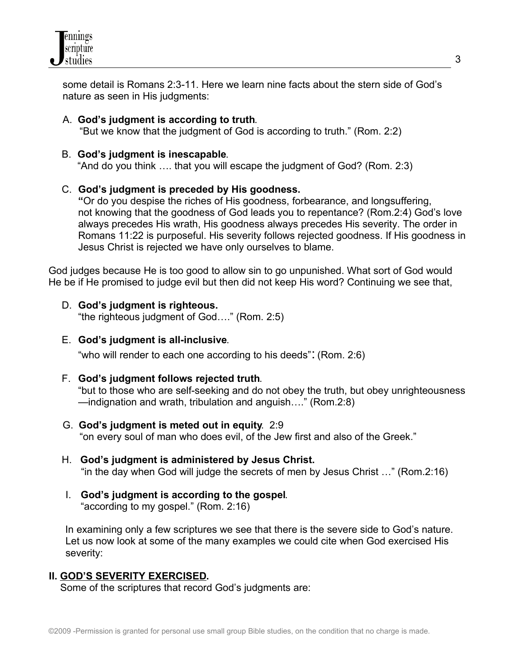

 some detail is Romans 2:3-11. Here we learn nine facts about the stern side of God's nature as seen in His judgments:

# A. **God's judgment is according to truth**.

"But we know that the judgment of God is according to truth." (Rom. 2:2)

## B. **God's judgment is inescapable**.

"And do you think …. that you will escape the judgment of God? (Rom. 2:3)

## C. **God's judgment is preceded by His goodness.**

**"**Or do you despise the riches of His goodness, forbearance, and longsuffering, not knowing that the goodness of God leads you to repentance? (Rom.2:4) God's love always precedes His wrath, His goodness always precedes His severity. The order in Romans 11:22 is purposeful. His severity follows rejected goodness. If His goodness in Jesus Christ is rejected we have only ourselves to blame.

God judges because He is too good to allow sin to go unpunished. What sort of God would He be if He promised to judge evil but then did not keep His word? Continuing we see that,

- D. **God's judgment is righteous.**  "the righteous judgment of God…." (Rom. 2:5)
- E. **God's judgment is all-inclusive**.

"who will render to each one according to his deeds": (Rom. 2:6)

F. **God's judgment follows rejected truth**.

"but to those who are self-seeking and do not obey the truth, but obey unrighteousness —indignation and wrath, tribulation and anguish…." (Rom.2:8)

- G. **God's judgment is meted out in equity**. 2:9 "on every soul of man who does evil, of the Jew first and also of the Greek."
- H. **God's judgment is administered by Jesus Christ.** "in the day when God will judge the secrets of men by Jesus Christ …" (Rom.2:16)
- I. **God's judgment is according to the gospel**. "according to my gospel." (Rom. 2:16)

In examining only a few scriptures we see that there is the severe side to God's nature. Let us now look at some of the many examples we could cite when God exercised His severity:

## **II. GOD'S SEVERITY EXERCISED.**

Some of the scriptures that record God's judgments are: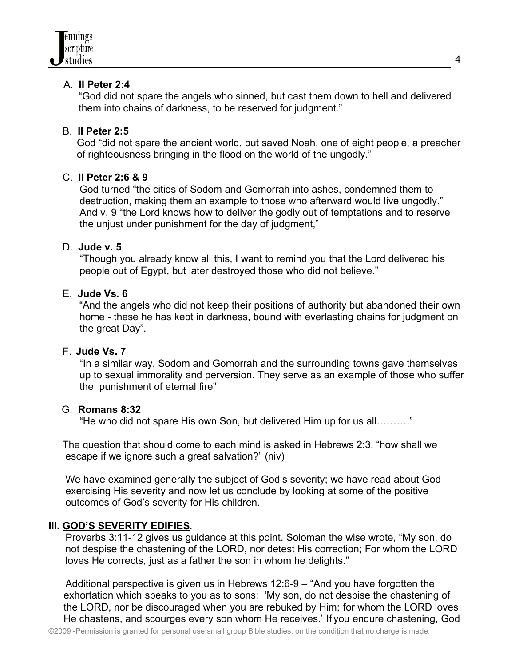## A. **II Peter 2:4**

"God did not spare the angels who sinned, but cast them down to hell and delivered them into chains of darkness, to be reserved for judgment."

# B. **II Peter 2:5**

 God "did not spare the ancient world, but saved Noah, one of eight people, a preacher of righteousness bringing in the flood on the world of the ungodly."

## C. **II Peter 2:6 & 9**

 God turned "the cities of Sodom and Gomorrah into ashes, condemned them to destruction, making them an example to those who afterward would live ungodly." And v. 9 "the Lord knows how to deliver the godly out of temptations and to reserve the unjust under punishment for the day of judgment,"

## D. **Jude v. 5**

 "Though you already know all this, I want to remind you that the Lord delivered his people out of Egypt, but later destroyed those who did not believe."

## E. **Jude Vs. 6**

"And the angels who did not keep their positions of authority but abandoned their own home - these he has kept in darkness, bound with everlasting chains for judgment on the great Day".

## F. **Jude Vs. 7**

 "In a similar way, Sodom and Gomorrah and the surrounding towns gave themselves up to sexual immorality and perversion. They serve as an example of those who suffer the punishment of eternal fire"

## G. **Romans 8:32**

"He who did not spare His own Son, but delivered Him up for us all………."

The question that should come to each mind is asked in Hebrews 2:3, "how shall we escape if we ignore such a great salvation?" (niv)

 We have examined generally the subject of God's severity; we have read about God exercising His severity and now let us conclude by looking at some of the positive outcomes of God's severity for His children.

## **III. GOD'S SEVERITY EDIFIES**.

 Proverbs 3:11-12 gives us guidance at this point. Soloman the wise wrote, "My son, do not despise the chastening of the LORD, nor detest His correction; For whom the LORD loves He corrects, just as a father the son in whom he delights."

 Additional perspective is given us in Hebrews 12:6-9 – "And you have forgotten the exhortation which speaks to you as to sons: 'My son, do not despise the chastening of the LORD, nor be discouraged when you are rebuked by Him; for whom the LORD loves He chastens, and scourges every son whom He receives.' If you endure chastening, God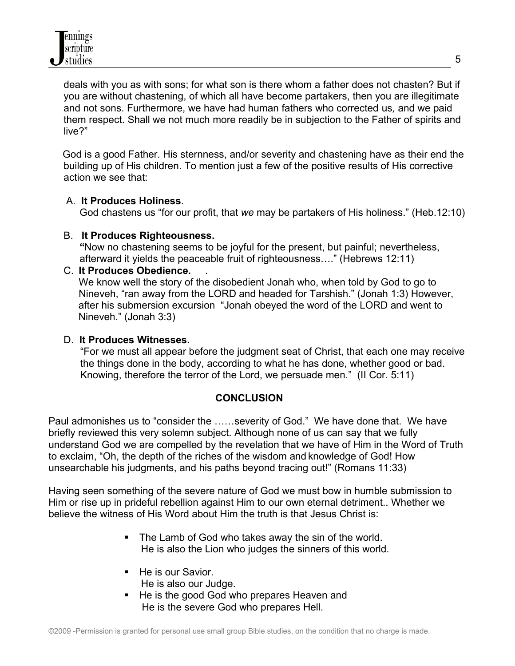deals with you as with sons; for what son is there whom a father does not chasten? But if you are without chastening, of which all have become partakers, then you are illegitimate and not sons. Furthermore, we have had human fathers who corrected us*,* and we paid them respect. Shall we not much more readily be in subjection to the Father of spirits and live?"

 God is a good Father. His sternness, and/or severity and chastening have as their end the building up of His children. To mention just a few of the positive results of His corrective action we see that:

## A. **It Produces Holiness**.

God chastens us "for our profit, that *we* may be partakers of His holiness." (Heb.12:10)

## B. **It Produces Righteousness.**

 **"**Now no chastening seems to be joyful for the present, but painful; nevertheless, afterward it yields the peaceable fruit of righteousness…." (Hebrews 12:11)

## C. **It Produces Obedience.** .

We know well the story of the disobedient Jonah who, when told by God to go to Nineveh, "ran away from the LORD and headed for Tarshish." (Jonah 1:3) However, after his submersion excursion "Jonah obeyed the word of the LORD and went to Nineveh." (Jonah 3:3)

## D. **It Produces Witnesses.**

 "For we must all appear before the judgment seat of Christ, that each one may receive the things done in the body, according to what he has done, whether good or bad. Knowing, therefore the terror of the Lord, we persuade men." (II Cor. 5:11)

## **CONCLUSION**

Paul admonishes us to "consider the ……severity of God." We have done that. We have briefly reviewed this very solemn subject. Although none of us can say that we fully understand God we are compelled by the revelation that we have of Him in the Word of Truth to exclaim, "Oh, the depth of the riches of the wisdom and knowledge of God! How unsearchable his judgments, and his paths beyond tracing out!" (Romans 11:33)

Having seen something of the severe nature of God we must bow in humble submission to Him or rise up in prideful rebellion against Him to our own eternal detriment.. Whether we believe the witness of His Word about Him the truth is that Jesus Christ is:

- The Lamb of God who takes away the sin of the world. He is also the Lion who judges the sinners of this world.
- He is our Savior. He is also our Judge.
- He is the good God who prepares Heaven and He is the severe God who prepares Hell.